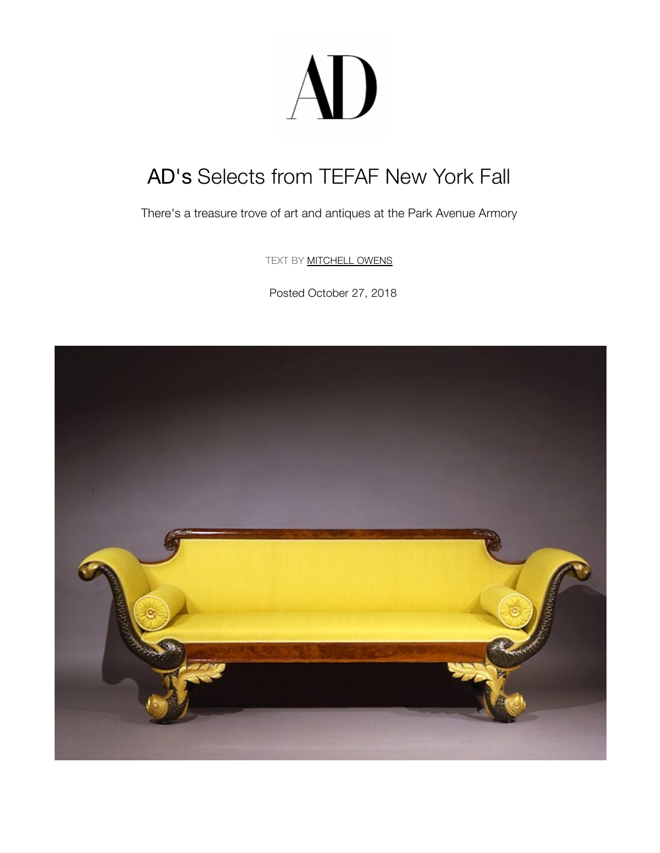## AD

## AD's Selects from TEFAF New York Fall

There's a treasure trove of art and antiques at the Park Avenue Armory

TEXT BY **[MITCHELL O](https://www.tefaf.com/home)WENS** 

Posted October 27, 2018

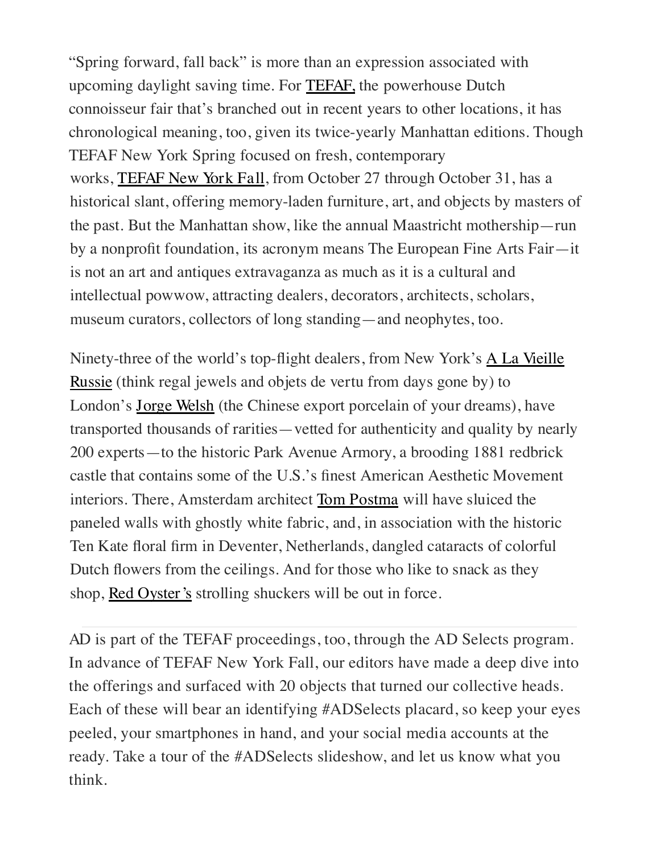works, TEFAF New York Fall, from October 27 through October 31, has a historical slant, offering memory-laden furniture, art, and objects by masters of the past. But the Manhattan show, like the annual Maastricht mothership—run by a nonprofit foundation, its acronym means The European Fine Arts Fair—it is not an art and antiques extravaganza as much as it is a cultural and intellectual powwow, attracting dealers, decorators, architects, scholars, museum curators, collectors of long standing—and neophytes, too. "Spring forward, fall back" is more than an expression associated with upcoming daylight saving time. For TEFAF, the powerhouse Dutch connoisseur fair that's branched out in recent years to other locations, it has chronological meaning, too, given its twice-yearly Manhattan editions. Though TEFAF New York Spring focused on fresh, contemporary

Ninety-three of the world's top-flight dealers, from New York's A La Vieille Russie (think regal jewels and objets de vertu from days gone by) to London's Jorge Welsh (the Chinese export porcelain of your dreams), have transported thousands of rarities—vetted for authenticity and quality by nearly 200 experts—to the historic Park Avenue Armory, a brooding 1881 redbrick castle that contains some of the U.S.'s finest American Aesthetic Movement interiors. There, Amsterdam architect Tom Postma will have sluiced the paneled walls with ghostly white fabric, and, in association with the historic Ten Kate floral firm in Deventer, Netherlands, dangled cataracts of colorful Dutch flowers from the ceilings. And for those who like to snack as they shop, Red Oyster's strolling shuckers will be out in force.

[AD is part of the TEFAF proceedings, too, through the AD Selects program](https://www.architecturaldigest.com/gallery/tefaf-new-york-fall-selects#1). In advance of TEFAF New York Fall, our editors have made a deep dive into the offerings and surfaced with 20 obje[cts that turned](https://www.tefaf.com/press/art/details/tefaf-new-york-fall/aron/pair-of-yellow-ground-dishes) our collective heads. Each of these will bear an identifying #ADSelects placard, so keep your eyes peeled, your smartphones in hand, and your social media accounts at the ready. T[ake a tour of t](https://www.facebook.com/sharer/sharer.php?u=https%3A%2F%2Fwww.architecturaldigest.com%2Fstory%2Fads-selects-from-tefaf-new-york-fall&t=AD%27s%20Selects%20from%20TEFAF%20New%20York%20Fall)[he #ADSelects](https://twitter.com/share?text=AD%27s%20Selects%20from%20TEFAF%20New%20York%20Fall&via=ArchDigest&url=https%3A%2F%2Fwww.architecturaldigest.com%2Fstory%2Fads-selects-from-tefaf-new-york-fall) slideshow, and let us know what you [think.](https://www.pinterest.com/pin/create/button/?url=https%3A%2F%2Fwww.architecturaldigest.com%2Fstory%2Fads-selects-from-tefaf-new-york-fall&media=https%3A%2F%2Fmedia.architecturaldigest.com%2Fphotos%2F5bd34c77c8dbb22d77645407%2Fmaster%2Fpass%2FHIRSCHL%2520%26%2520ADLER%2520GALLERIES.jpg&description=AD%27s%20Selects%20from%20TEFAF%20New%20York%20Fall)